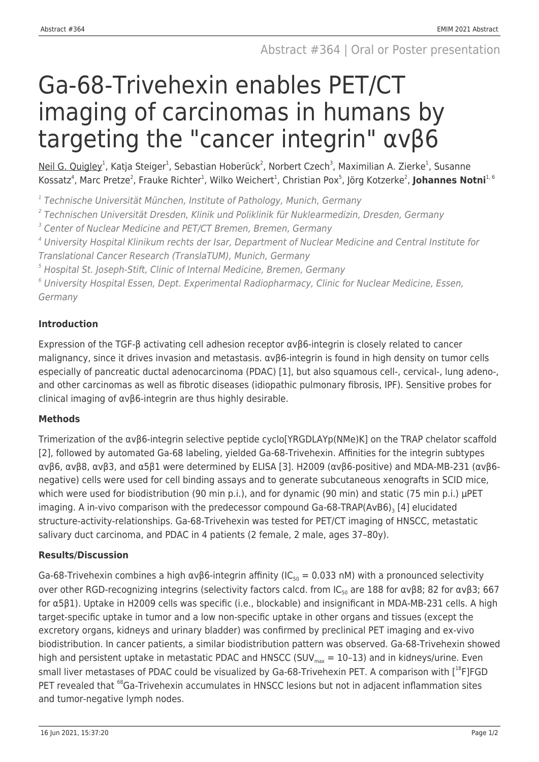# Ga-68-Trivehexin enables PET/CT imaging of carcinomas in humans by targeting the "cancer integrin" αvβ6

<u>Neil G. Quigley</u><sup>1</sup>, Katja Steiger<sup>1</sup>, Sebastian Hoberück<sup>2</sup>, Norbert Czech<sup>3</sup>, Maximilian A. Zierke<sup>1</sup>, Susanne Kossatz<sup>4</sup>, Marc Pretze<sup>2</sup>, Frauke Richter<sup>1</sup>, Wilko Weichert<sup>1</sup>, Christian Pox<sup>5</sup>, Jörg Kotzerke<sup>2</sup>, **Johannes Notni**<sup>1, 6</sup>

<sup>1</sup> Technische Universität München, Institute of Pathology, Munich, Germany

2 Technischen Universität Dresden, Klinik und Poliklinik für Nuklearmedizin, Dresden, Germany

<sup>3</sup> Center of Nuclear Medicine and PET/CT Bremen, Bremen, Germany

4 University Hospital Klinikum rechts der Isar, Department of Nuclear Medicine and Central Institute for Translational Cancer Research (TranslaTUM), Munich, Germany

 $^5$  Hospital St. Joseph-Stift, Clinic of Internal Medicine, Bremen, Germany

 $^6$  University Hospital Essen, Dept. Experimental Radiopharmacy, Clinic for Nuclear Medicine, Essen, Germany

## **Introduction**

Expression of the TGF-β activating cell adhesion receptor αvβ6-integrin is closely related to cancer malignancy, since it drives invasion and metastasis. αvβ6-integrin is found in high density on tumor cells especially of pancreatic ductal adenocarcinoma (PDAC) [1], but also squamous cell-, cervical-, lung adeno-, and other carcinomas as well as fibrotic diseases (idiopathic pulmonary fibrosis, IPF). Sensitive probes for clinical imaging of αvβ6-integrin are thus highly desirable.

## **Methods**

Trimerization of the αvβ6-integrin selective peptide cyclo[YRGDLAYp(NMe)K] on the TRAP chelator scaffold [2], followed by automated Ga-68 labeling, yielded Ga-68-Trivehexin. Affinities for the integrin subtypes αvβ6, αvβ8, αvβ3, and α5β1 were determined by ELISA [3]. H2009 (αvβ6-positive) and MDA-MB-231 (αvβ6 negative) cells were used for cell binding assays and to generate subcutaneous xenografts in SCID mice, which were used for biodistribution (90 min p.i.), and for dynamic (90 min) and static (75 min p.i.) µPET imaging. A in-vivo comparison with the predecessor compound Ga-68-TRAP(AvB6) $_{\rm 3}$  [4] elucidated structure-activity-relationships. Ga-68-Trivehexin was tested for PET/CT imaging of HNSCC, metastatic salivary duct carcinoma, and PDAC in 4 patients (2 female, 2 male, ages 37–80y).

## **Results/Discussion**

Ga-68-Trivehexin combines a high  $\alpha v\beta6$ -integrin affinity (IC<sub>50</sub> = 0.033 nM) with a pronounced selectivity over other RGD-recognizing integrins (selectivity factors calcd. from IC<sub>50</sub> are 188 for ανβ8; 82 for ανβ3; 667 for α5β1). Uptake in H2009 cells was specific (i.e., blockable) and insignificant in MDA-MB-231 cells. A high target-specific uptake in tumor and a low non-specific uptake in other organs and tissues (except the excretory organs, kidneys and urinary bladder) was confirmed by preclinical PET imaging and ex-vivo biodistribution. In cancer patients, a similar biodistribution pattern was observed. Ga-68-Trivehexin showed high and persistent uptake in metastatic PDAC and HNSCC (SUV<sub>max</sub> = 10-13) and in kidneys/urine. Even small liver metastases of PDAC could be visualized by Ga-68-Trivehexin PET. A comparison with [<sup>18</sup>F]FGD PET revealed that <sup>68</sup>Ga-Trivehexin accumulates in HNSCC lesions but not in adiacent inflammation sites and tumor-negative lymph nodes.